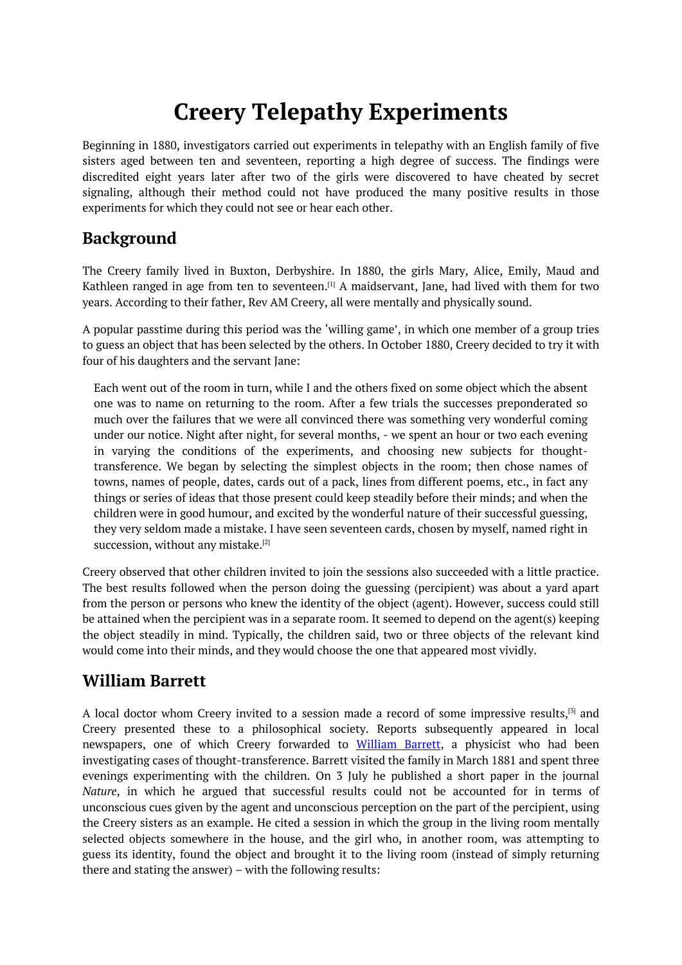# **Creery Telepathy Experiments**

<span id="page-0-0"></span>Beginning in 1880, investigators carried out experiments in telepathy with an English family of five sisters aged between ten and seventeen, reporting a high degree of success. The findings were discredited eight years later after two of the girls were discovered to have cheated by secret signaling, although their method could not have produced the many positive results in those experiments for which they could not see or hear each other.

# **Background**

The Creery family lived in Buxton, Derbyshire. In 1880, the girls Mary, Alice, Emily, Maud and Kathleen ranged in age from ten to seventeen. $^{[1]}$  A maidservant, Jane, had lived with them for two years. According to their father, Rev AM Creery, all were mentally and physically sound.

A popular passtime during this period was the 'willing game', in which one member of a group tries to guess an object that has been selected by the [ot](#page-0-0)hers. In October 1880, Creery decided to try it with four of his daughters and the servant Jane:

Each went out of the room in turn, while I and the others fixed on some object which the absent one was to name on returning to the room. After a few trials the successes preponderated so much over the failures that we were all convinced there was something very wonderful coming under our notice. Night after night, for several months, - we spent an hour or two each evening in varying the conditions of the experiments, and choosing new subjects for thoughttransference. We began by selecting the simplest objects in the room; then chose names of towns, names of people, dates, cards out of a pack, lines from different poems, etc., in fact any things or series of ideas that those present could keep steadily before their minds; and when the children were in good humour, and excited by the wonderful nature of their successful guessing, they very seldom made a mistake. I have seen seventeen cards, chosen by myself, named right in succession, without any mistake.<sup>[2]</sup>

Creery observed that other children invited to join the sessions also succeeded with a little practice. The best results followed when the person doing the guessing (percipient) was about a yard apart from the person or persons who k[new](#page-0-0) the identity of the object (agent). However, success could still be attained when the percipient was in a separate room. It seemed to depend on the agent(s) keeping the object steadily in mind. Typically, the children said, two or three objects of the relevant kind would come into their minds, and they would choose the one that appeared most vividly.

# **William Barrett**

A local doctor whom Creery invited to a session made a record of some impressive results,<sup>[5]</sup> and Creery presented these to a philosophical society. Reports subsequently appeared in local newspapers, one of which Creery forwarded to William Barrett, a physicist who had been investigating cases of thought-transference. Barrett visited the family in March 1881 and spent [t](#page-0-0)hree evenings experimenting with the children. On 3 July he published a short paper in the journal *Nature*, in which he argued that successful results could not be accounted for in terms of unconscious cues given by the agent and unconscious perception on the part of the percipient, using the Creery sisters as an example. He cited a session in which the group in the living room mentally selected objects somewhere in the house, and the girl who, in another room, was attempting to guess its identity, found the object and brought it to the living room (instead of simply returning there and stating the answer) – with the following results: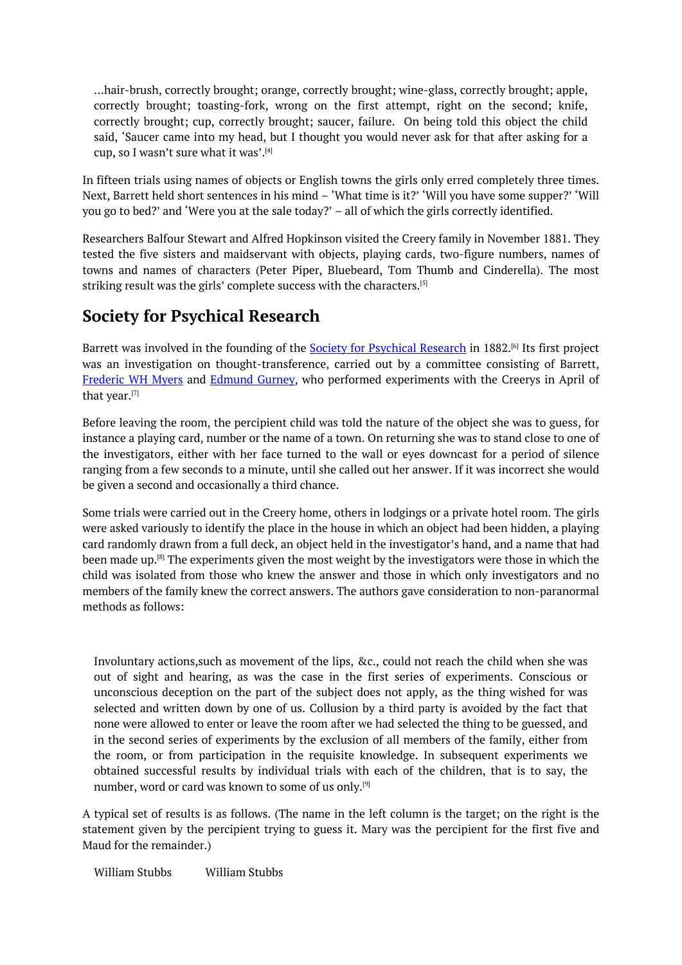…hair-brush, correctly brought; orange, correctly brought; wine-glass, correctly brought; apple, correctly brought; toasting-fork, wrong on the first attempt, right on the second; knife, correctly brought; cup, correctly brought; saucer, failure. On being told this object the child said, 'Saucer came into my head, but I thought you would never ask for that after asking for a cup, so I wasn't sure what it was'. [4]

In fifteen trials using names of objects or English towns the girls only erred completely three times. Next, Barrett held short sentences in his mind – 'What time is it?' 'Will you have some supper?' 'Will you go to bed?' and 'Were you at th[e](#page-0-0) sale today?' – all of which the girls correctly identified.

Researchers Balfour Stewart and Alfred Hopkinson visited the Creery family in November 1881. They tested the five sisters and maidservant with objects, playing cards, two-figure numbers, names of towns and names of characters (Peter Piper, Bluebeard, Tom Thumb and Cinderella). The most striking result was the girls' complete success with the characters. [5]

# **Society for Psychical Research**

Barrett was involved in the founding of the <u>Society for Psychical [R](#page-0-0)esearch</u> in 1882.<sup>[6]</sup> Its first project was an investigation on thought-transference, carried out by a committee consisting of Barrett, Frederic WH Myers and Edmund Gurney, who performed experiments with the Creerys in April of that year. [7]

Before leaving the room, the percipient child was told the nature of the object she was to guess, for instance a playing card, number or the name of a town. On returning she was to stand close to one of the inves[tig](#page-0-0)ators, either with her face turned to the wall or eyes downcast for a period of silence ranging from a few seconds to a minute, until she called out her answer. If it was incorrect she would be given a second and occasionally a third chance.

Some trials were carried out in the Creery home, others in lodgings or a private hotel room. The girls were asked variously to identify the place in the house in which an object had been hidden, a playing card randomly drawn from a full deck, an object held in the investigator's hand, and a name that had been made up. [8] The experiments given the most weight by the investigators were those in which the child was isolated from those who knew the answer and those in which only investigators and no members of the family knew the correct answers. The authors gave consideration to non-paranormal methods as fo[llo](#page-0-0)ws:

Involuntary actions,such as movement of the lips, &c., could not reach the child when she was out of sight and hearing, as was the case in the first series of experiments. Conscious or unconscious deception on the part of the subject does not apply, as the thing wished for was selected and written down by one of us. Collusion by a third party is avoided by the fact that none were allowed to enter or leave the room after we had selected the thing to be guessed, and in the second series of experiments by the exclusion of all members of the family, either from the room, or from participation in the requisite knowledge. In subsequent experiments we obtained successful results by individual trials with each of the children, that is to say, the number, word or card was known to some of us only.<sup>[9]</sup>

A typical set of results is as follows. (The name in the left column is the target; on the right is the statement given by the percipient trying to guess it. Mary was the percipient for the first five and Maud for the remainder.)

William Stubbs William Stubbs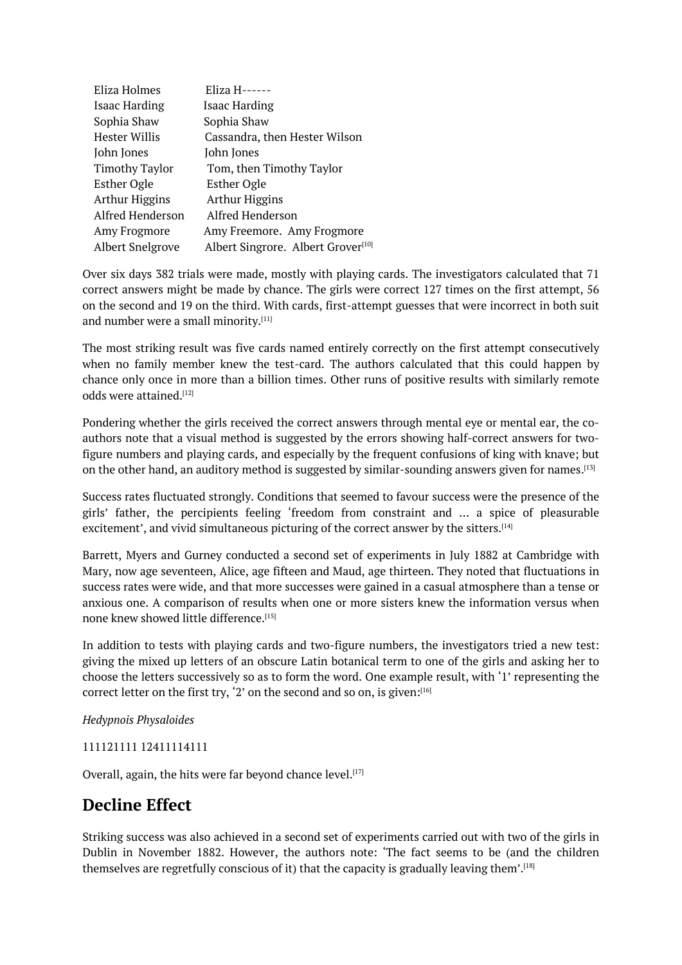| Eliza Holmes            | Eliza H------                                  |
|-------------------------|------------------------------------------------|
| <b>Isaac Harding</b>    | Isaac Harding                                  |
| Sophia Shaw             | Sophia Shaw                                    |
| Hester Willis           | Cassandra, then Hester Wilson                  |
| John Jones              | John Jones                                     |
| <b>Timothy Taylor</b>   | Tom, then Timothy Taylor                       |
| <b>Esther Ogle</b>      | <b>Esther Ogle</b>                             |
| <b>Arthur Higgins</b>   | <b>Arthur Higgins</b>                          |
| Alfred Henderson        | Alfred Henderson                               |
| Amy Frogmore            | Amy Freemore. Amy Frogmore                     |
| <b>Albert Snelgrove</b> | Albert Singrore. Albert Grover <sup>[10]</sup> |

Over six days 382 trials were made, mostly with playing cards. The investigators calculated that 71 correct answers might be made by chance. The girls were correct 127 times on the first attempt, 56 on the second and 19 on the third. With cards, first-at[tem](#page-0-0)pt guesses that were incorrect in both suit and number were a small minority. $^{\left[ 11\right] }$ 

The most striking result was five cards named entirely correctly on the first attempt consecutively when no family member knew the test-card. The authors calculated that this could happen by chance only once in more than a [bill](#page-0-0)ion times. Other runs of positive results with similarly remote odds were attained. [12]

Pondering whether the girls received the correct answers through mental eye or mental ear, the coauthors note that a visual method is suggested by the errors showing half-correct answers for twofigure numbers and [pl](#page-0-0)aying cards, and especially by the frequent confusions of king with knave; but on the other hand, an auditory method is suggested by similar-sounding answers given for names. $^{\left[ 13\right] }$ 

Success rates fluctuated strongly. Conditions that seemed to favour success were the presence of the girls' father, the percipients feeling 'freedom from constraint and … a spice of pleasura[ble](#page-0-0) excitement', and vivid simultaneous picturing of the correct answer by the sitters.<sup>[14]</sup>

Barrett, Myers and Gurney conducted a second set of experiments in July 1882 at Cambridge with Mary, now age seventeen, Alice, age fifteen and Maud, age thirteen. They noted that fluctuations in success rates were wide, and that more successes were gained in a casual atmosp[her](#page-0-0)e than a tense or anxious one. A comparison of results when one or more sisters knew the information versus when none knew showed little difference. [15]

In addition to tests with playing cards and two-figure numbers, the investigators tried a new test: giving the mixed up letters of an obscure Latin botanical term to one of the girls and asking her to choose the letters successively so as [to](#page-0-0) form the word. One example result, with '1' representing the correct letter on the first try, '2' on the second and so on, is given:[16]

*Hedypnois Physaloides*

111121111 12411114111

Overall, again, the hits were far beyond chance level.  $^{[17]}$ 

### **Decline Effect**

Striking success was also achieved in a second set of [ex](#page-0-0)periments carried out with two of the girls in Dublin in November 1882. However, the authors note: 'The fact seems to be (and the children themselves are regretfully conscious of it) that the capacity is gradually leaving them'.  $^{[18]}$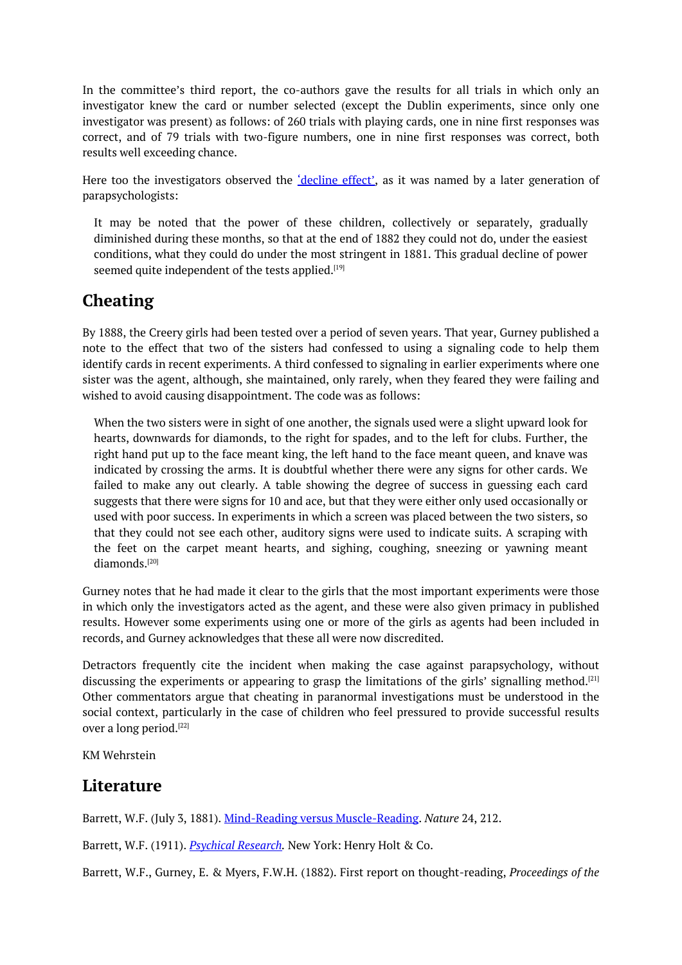In the committee's third report, the co-authors gave the results for all trials in which only an investigator knew the card or number selected (except the Dublin experiments, since only one investigator was present) as follows: of 260 trials with playing cards, one in nine first responses was correct, and of 79 trials with two-figure numbers, one in nine first responses was correct, both results well exceeding chance.

Here too the investigators observed the <u>'decline effect'</u>, as it was named by a later generation of parapsychologists:

It may be noted that the power of these children, collectively or separately, gradually diminished during these months, so that at the end of 1882 they could not do, under the easiest conditions, what they could do under the most stringent in 1881. This gradual decline of power seemed quite independent of the tests applied.<sup>[19]</sup>

# **Cheating**

By 1888, the Creery girls had been tested over a [per](#page-0-0)iod of seven years. That year, Gurney published a note to the effect that two of the sisters had confessed to using a signaling code to help them identify cards in recent experiments. A third confessed to signaling in earlier experiments where one sister was the agent, although, she maintained, only rarely, when they feared they were failing and wished to avoid causing disappointment. The code was as follows:

When the two sisters were in sight of one another, the signals used were a slight upward look for hearts, downwards for diamonds, to the right for spades, and to the left for clubs. Further, the right hand put up to the face meant king, the left hand to the face meant queen, and knave was indicated by crossing the arms. It is doubtful whether there were any signs for other cards. We failed to make any out clearly. A table showing the degree of success in guessing each card suggests that there were signs for 10 and ace, but that they were either only used occasionally or used with poor success. In experiments in which a screen was placed between the two sisters, so that they could not see each other, auditory signs were used to indicate suits. A scraping with the feet on the carpet meant hearts, and sighing, coughing, sneezing or yawning meant diamonds. [20]

Gurney notes that he had made it clear to the girls that the most important experiments were those in which only the investigators acted as the agent, and these were also given primacy in published results. How[ev](#page-0-0)er some experiments using one or more of the girls as agents had been included in records, and Gurney acknowledges that these all were now discredited.

Detractors frequently cite the incident when making the case against parapsychology, without discussing the experiments or appearing to grasp the limitations of the girls' signalling method.<sup>[21]</sup> Other commentators argue that cheating in paranormal investigations must be understood in the social context, particularly in the case of children who feel pressured to provide successful results over a long period. [22]

KM Wehrstein

#### **Literature**

Barrett, W.F. (July 3, 1881). Mind-Reading versus Muscle-Reading. *Nature* 24, 212.

Barrett, W.F. (1911). *Psychical Research.* New York: Henry Holt & Co.

Barrett, W.F., Gurney, E. & Myers, F.W.H. [\(1882\).](https://archive.org/stream/nature241881lock#page/212/mode/2up) First report on thought-reading, *Proceedings of the*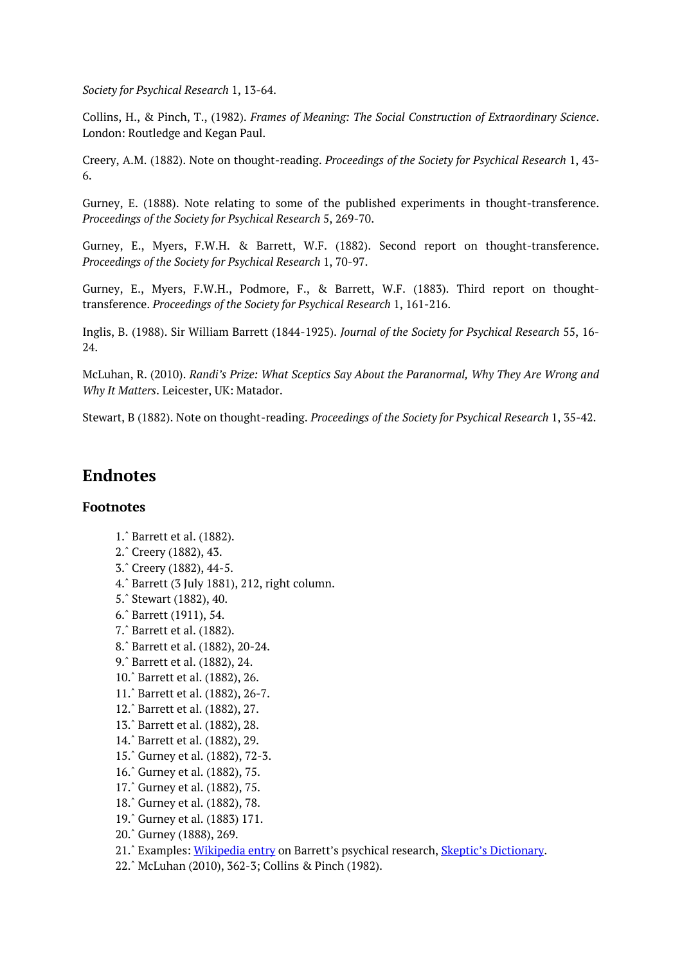*Society for Psychical Research* 1, 13-64.

Collins, H., & Pinch, T., (1982). *Frames of Meaning: The Social Construction of Extraordinary Science*. London: Routledge and Kegan Paul.

Creery, A.M. (1882). Note on thought-reading. *Proceedings of the Society for Psychical Research* 1, 43- 6.

Gurney, E. (1888). Note relating to some of the published experiments in thought-transference. *Proceedings of the Society for Psychical Research* 5, 269-70.

Gurney, E., Myers, F.W.H. & Barrett, W.F. (1882). Second report on thought-transference. *Proceedings of the Society for Psychical Research* 1, 70-97.

Gurney, E., Myers, F.W.H., Podmore, F., & Barrett, W.F. (1883). Third report on thoughttransference. *Proceedings of the Society for Psychical Research* 1, 161-216.

Inglis, B. (1988). Sir William Barrett (1844-1925). *Journal of the Society for Psychical Research* 55, 16- 24.

McLuhan, R. (2010). *Randi's Prize: What Sceptics Say About the Paranormal, Why They Are Wrong and Why It Matters*. Leicester, UK: Matador.

Stewart, B (1882). Note on thought-reading. *Proceedings of the Society for Psychical Research* 1, 35-42.

#### **Endnotes**

#### **Footnotes**

- 1.ˆ Barrett et al. (1882).
- 2.ˆ Creery (1882), 43.
- 3.ˆ Creery (1882), 44-5.
- 4.ˆ Barrett (3 July 1881), 212, right column.
- [5.ˆ](#page-0-0) Stewart (1882), 40.
- [6.ˆ](#page-0-0) Barrett (1911), 54.
- [7.ˆ](#page-0-0) Barrett et al. (1882).
- [8.ˆ](#page-0-0) Barrett et al. (1882), 20-24.
- [9.ˆ](#page-0-0) Barrett et al. (1882), 24.
- [10.](#page-0-0)ˆ Barrett et al. (1882), 26.
- [11.](#page-0-0)ˆ Barrett et al. (1882), 26-7.
- [12.](#page-0-0)ˆ Barrett et al. (1882), 27.
- [13.](#page-0-0)ˆ Barrett et al. (1882), 28.
- [14.ˆ](#page-0-0) Barrett et al. (1882), 29.
- [15.ˆ](#page-0-0) Gurney et al. (1882), 72-3.
- [16.ˆ](#page-0-0) Gurney et al. (1882), 75.
- [17.ˆ](#page-0-0) Gurney et al. (1882), 75.
- [18.ˆ](#page-0-0) Gurney et al. (1882), 78.
- [19.ˆ](#page-0-0) Gurney et al. (1883) 171.
- [20.ˆ](#page-0-0) Gurney (1888), 269.
- [21.ˆ](#page-0-0) Examples: Wikipedia entry on Barrett's psychical research, Skeptic's Dictionary.
- [22.ˆ](#page-0-0) McLuhan (2010), 362-3; Collins & Pinch (1982).